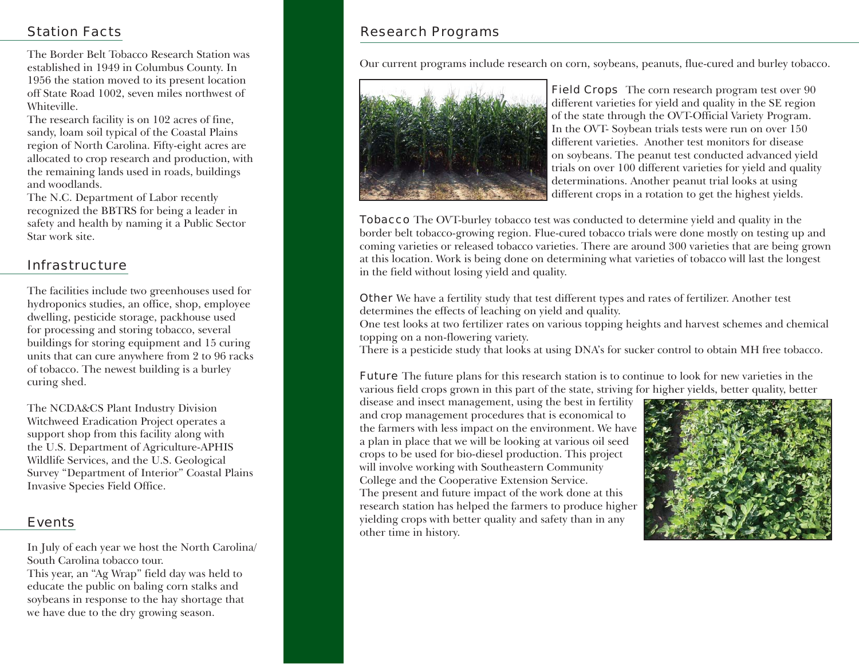# Station Facts

The Border Belt Tobacco Research Station was established in 1949 in Columbus County. In 1956 the station moved to its present location off State Road 1002, seven miles northwest of Whiteville.

The research facility is on 102 acres of fine, sandy, loam soil typical of the Coastal Plains region of North Carolina. Fifty-eight acres are allocated to crop research and production, with the remaining lands used in roads, buildings and woodlands.

The N.C. Department of Labor recently recognized the BBTRS for being a leader in safety and health by naming it a Public Sector Star work site.

## Infrastructure

The facilities include two greenhouses used for hydroponics studies, an office, shop, employee dwelling, pesticide storage, packhouse used for processing and storing tobacco, several buildings for storing equipment and 15 curing units that can cure anywhere from 2 to 96 racks of tobacco. The newest building is a burley curing shed.

The NCDA&CS Plant Industry Division Witchweed Eradication Project operates a support shop from this facility along with the U.S. Department of Agriculture-APHIS Wildlife Services, and the U.S. Geological Survey "Department of Interior" Coastal Plains Invasive Species Field Office.

## Events

In July of each year we host the North Carolina/ South Carolina tobacco tour.

This year, an "Ag Wrap" field day was held to educate the public on baling corn stalks and soybeans in response to the hay shortage that we have due to the dry growing season.

# Research Programs

Our current programs include research on corn, soybeans, peanuts, flue-cured and burley tobacco.



**Field Crops** The corn research program test over 90 different varieties for yield and quality in the SE region of the state through the OVT-Official Variety Program. In the OVT- Soybean trials tests were run on over 150 different varieties. Another test monitors for disease on soybeans. The peanut test conducted advanced yield trials on over 100 different varieties for yield and quality determinations. Another peanut trial looks at using different crops in a rotation to get the highest yields.

Tobacco The OVT-burley tobacco test was conducted to determine yield and quality in the border belt tobacco-growing region. Flue-cured tobacco trials were done mostly on testing up and coming varieties or released tobacco varieties. There are around 300 varieties that are being grown at this location. Work is being done on determining what varieties of tobacco will last the longest in the field without losing yield and quality.

Other We have a fertility study that test different types and rates of fertilizer. Another test determines the effects of leaching on yield and quality.

One test looks at two fertilizer rates on various topping heights and harvest schemes and chemical topping on a non-flowering variety.

There is a pesticide study that looks at using DNA's for sucker control to obtain MH free tobacco.

Future The future plans for this research station is to continue to look for new varieties in the various field crops grown in this part of the state, striving for higher yields, better quality, better

disease and insect management, using the best in fertility and crop management procedures that is economical to the farmers with less impact on the environment. We have a plan in place that we will be looking at various oil seed crops to be used for bio-diesel production. This project will involve working with Southeastern Community College and the Cooperative Extension Service. The present and future impact of the work done at this research station has helped the farmers to produce higher yielding crops with better quality and safety than in any other time in history.